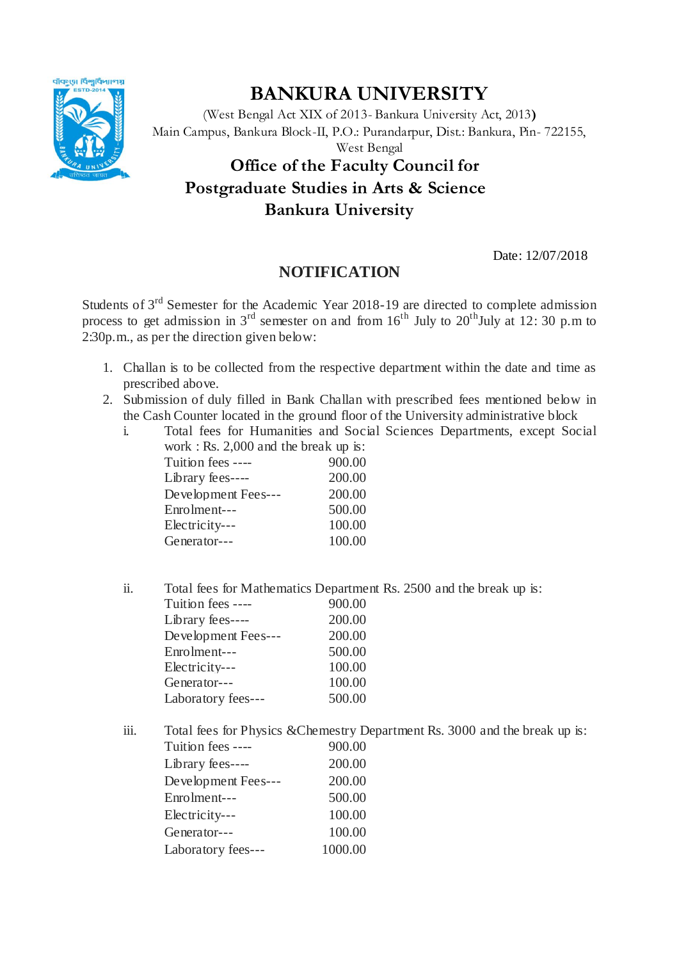

## **BANKURA UNIVERSITY**

(West Bengal Act XIX of 2013- Bankura University Act, 2013**)** Main Campus, Bankura Block-II, P.O.: Purandarpur, Dist.: Bankura, Pin- 722155, West Bengal **Office of the Faculty Council for Postgraduate Studies in Arts & Science Bankura University** 

Date: 12/07/2018

## **NOTIFICATION**

Students of 3rd Semester for the Academic Year 2018-19 are directed to complete admission process to get admission in  $3<sup>rd</sup>$  semester on and from  $16<sup>th</sup>$  July to  $20<sup>th</sup>$ July at 12: 30 p.m to 2:30p.m., as per the direction given below:

- 1. Challan is to be collected from the respective department within the date and time as prescribed above.
- 2. Submission of duly filled in Bank Challan with prescribed fees mentioned below in the Cash Counter located in the ground floor of the University administrative block
	- i. Total fees for Humanities and Social Sciences Departments, except Social work  $\cdot$  Rs. 2,000 and the break up is:

| $\frac{1}{2}$ $\frac{1}{2}$ $\frac{1}{2}$ $\frac{1}{2}$ $\frac{1}{2}$ $\frac{1}{2}$ $\frac{1}{2}$ $\frac{1}{2}$ $\frac{1}{2}$ $\frac{1}{2}$ $\frac{1}{2}$ $\frac{1}{2}$ $\frac{1}{2}$ $\frac{1}{2}$ $\frac{1}{2}$ $\frac{1}{2}$ $\frac{1}{2}$ $\frac{1}{2}$ $\frac{1}{2}$ $\frac{1}{2}$ $\frac{1}{2}$ $\frac{1}{2}$ |        |
|---------------------------------------------------------------------------------------------------------------------------------------------------------------------------------------------------------------------------------------------------------------------------------------------------------------------|--------|
| Tuition fees ----                                                                                                                                                                                                                                                                                                   | 900.00 |
| Library fees----                                                                                                                                                                                                                                                                                                    | 200.00 |
| Development Fees---                                                                                                                                                                                                                                                                                                 | 200.00 |
| Enrolment---                                                                                                                                                                                                                                                                                                        | 500.00 |
| Electricity---                                                                                                                                                                                                                                                                                                      | 100.00 |
| Generator---                                                                                                                                                                                                                                                                                                        | 100.00 |
|                                                                                                                                                                                                                                                                                                                     |        |

ii. Total fees for Mathematics Department Rs. 2500 and the break up is:

| Tuition fees ----   | 900.00 |
|---------------------|--------|
| Library fees----    | 200.00 |
| Development Fees--- | 200.00 |
| Enrolment---        | 500.00 |
| Electricity---      | 100.00 |
| Generator---        | 100.00 |
| Laboratory fees---  | 500.00 |

iii. Total fees for Physics &Chemestry Department Rs. 3000 and the break up is: Tuition fees ---- 900.00 Library fees---- 200.00 Development Fees--- 200.00 Enrolment--- 500.00 Electricity--- 100.00 Generator--- 100.00 Laboratory fees--- 1000.00